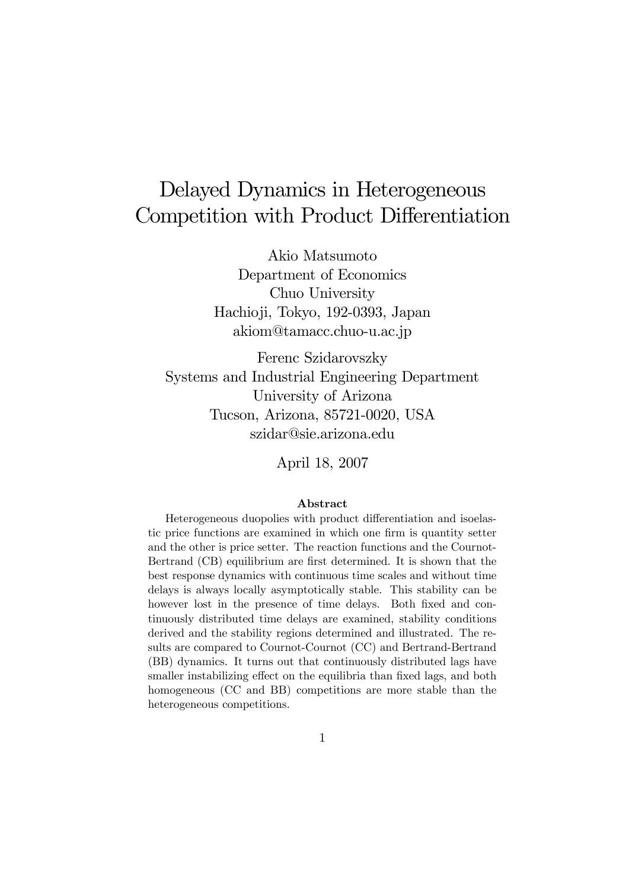# Delayed Dynamics in Heterogeneous Competition with Product Differentiation

Akio Matsumoto Department of Economics Chuo University Hachioji, Tokyo, 192-0393, Japan akiom@tamacc.chuo-u.ac.jp

Ferenc Szidarovszky Systems and Industrial Engineering Department University of Arizona Tucson, Arizona, 85721-0020, USA szidar@sie.arizona.edu

April 18, 2007

#### Abstract

Heterogeneous duopolies with product differentiation and isoelastic price functions are examined in which one firm is quantity setter and the other is price setter. The reaction functions and the Cournot-Bertrand (CB) equilibrium are first determined. It is shown that the best response dynamics with continuous time scales and without time delays is always locally asymptotically stable. This stability can be however lost in the presence of time delays. Both fixed and continuously distributed time delays are examined, stability conditions derived and the stability regions determined and illustrated. The results are compared to Cournot-Cournot (CC) and Bertrand-Bertrand (BB) dynamics. It turns out that continuously distributed lags have smaller instabilizing effect on the equilibria than fixed lags, and both homogeneous (CC and BB) competitions are more stable than the heterogeneous competitions.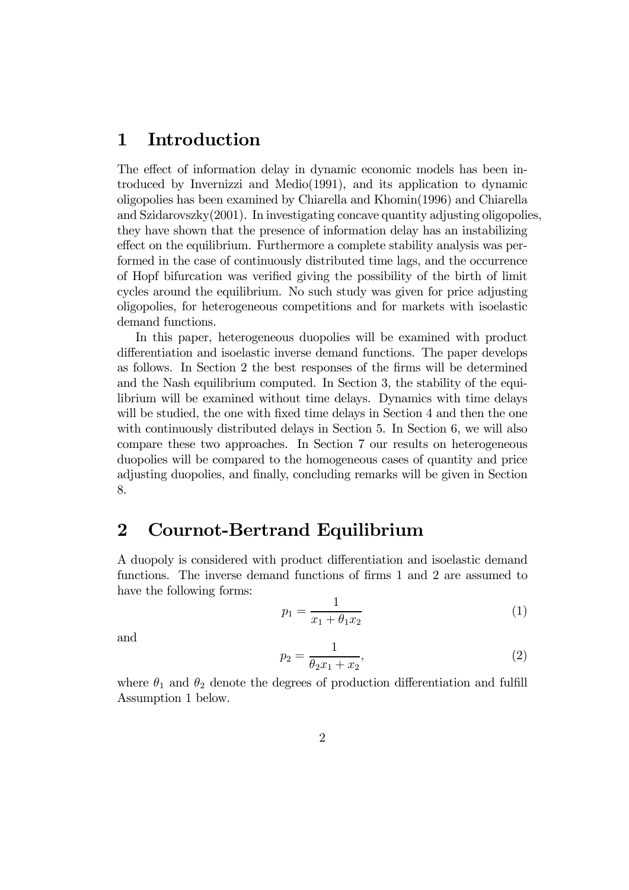## 1 Introduction

The effect of information delay in dynamic economic models has been introduced by Invernizzi and Medio(1991), and its application to dynamic oligopolies has been examined by Chiarella and Khomin(1996) and Chiarella and Szidarovszky(2001). In investigating concave quantity adjusting oligopolies, they have shown that the presence of information delay has an instabilizing effect on the equilibrium. Furthermore a complete stability analysis was performed in the case of continuously distributed time lags, and the occurrence of Hopf bifurcation was verified giving the possibility of the birth of limit cycles around the equilibrium. No such study was given for price adjusting oligopolies, for heterogeneous competitions and for markets with isoelastic demand functions.

In this paper, heterogeneous duopolies will be examined with product differentiation and isoelastic inverse demand functions. The paper develops as follows. In Section 2 the best responses of the firms will be determined and the Nash equilibrium computed. In Section 3, the stability of the equilibrium will be examined without time delays. Dynamics with time delays will be studied, the one with fixed time delays in Section 4 and then the one with continuously distributed delays in Section 5. In Section 6, we will also compare these two approaches. In Section 7 our results on heterogeneous duopolies will be compared to the homogeneous cases of quantity and price adjusting duopolies, and finally, concluding remarks will be given in Section 8.

#### 2 Cournot-Bertrand Equilibrium

A duopoly is considered with product differentiation and isoelastic demand functions. The inverse demand functions of firms 1 and 2 are assumed to have the following forms:

$$
p_1 = \frac{1}{x_1 + \theta_1 x_2} \tag{1}
$$

and

$$
p_2 = \frac{1}{\theta_2 x_1 + x_2},\tag{2}
$$

where  $\theta_1$  and  $\theta_2$  denote the degrees of production differentiation and fulfill Assumption 1 below.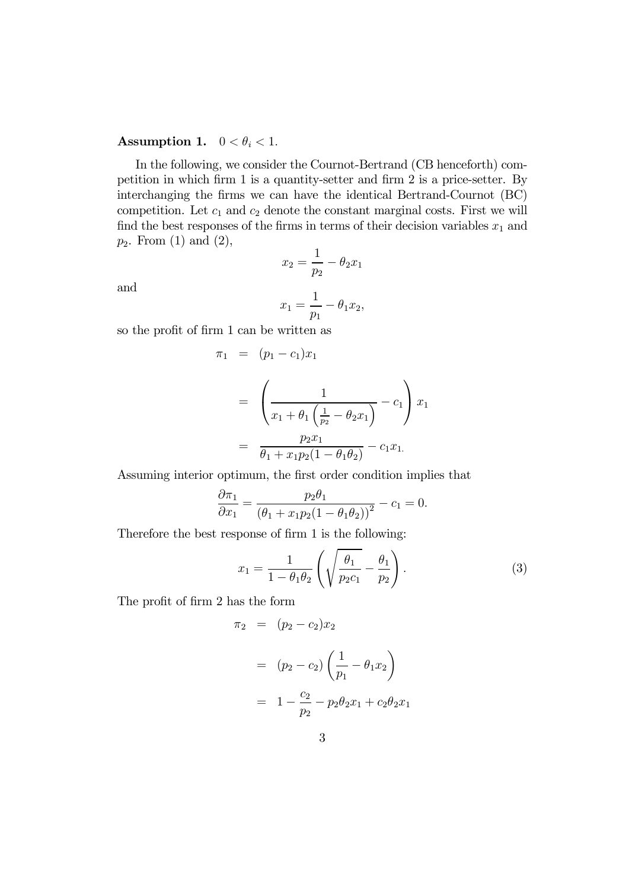#### Assumption 1.  $0 < \theta_i < 1$ .

In the following, we consider the Cournot-Bertrand (CB henceforth) competition in which firm 1 is a quantity-setter and firm 2 is a price-setter. By interchanging the firms we can have the identical Bertrand-Cournot (BC) competition. Let  $c_1$  and  $c_2$  denote the constant marginal costs. First we will find the best responses of the firms in terms of their decision variables  $x_1$  and  $p_2$ . From  $(1)$  and  $(2)$ ,  $x_2 = \frac{1}{x}$ 

and

$$
x_2 = \frac{1}{p_2} - \theta_2 x_1
$$

$$
x_1 = \frac{1}{p_1} - \theta_1 x_2,
$$

so the profit of firm 1 can be written as

$$
\pi_1 = (p_1 - c_1)x_1
$$
  
= 
$$
\left(\frac{1}{x_1 + \theta_1 \left(\frac{1}{p_2} - \theta_2 x_1\right)} - c_1\right) x_1
$$
  
= 
$$
\frac{p_2 x_1}{\theta_1 + x_1 p_2 (1 - \theta_1 \theta_2)} - c_1 x_1.
$$

Assuming interior optimum, the first order condition implies that

$$
\frac{\partial \pi_1}{\partial x_1} = \frac{p_2 \theta_1}{(\theta_1 + x_1 p_2 (1 - \theta_1 \theta_2))^2} - c_1 = 0.
$$

Therefore the best response of firm 1 is the following:

$$
x_1 = \frac{1}{1 - \theta_1 \theta_2} \left( \sqrt{\frac{\theta_1}{p_2 c_1}} - \frac{\theta_1}{p_2} \right).
$$
 (3)

The profit of firm 2 has the form

$$
\pi_2 = (p_2 - c_2)x_2
$$
  
=  $(p_2 - c_2) \left(\frac{1}{p_1} - \theta_1 x_2\right)$   
=  $1 - \frac{c_2}{p_2} - p_2 \theta_2 x_1 + c_2 \theta_2 x_1$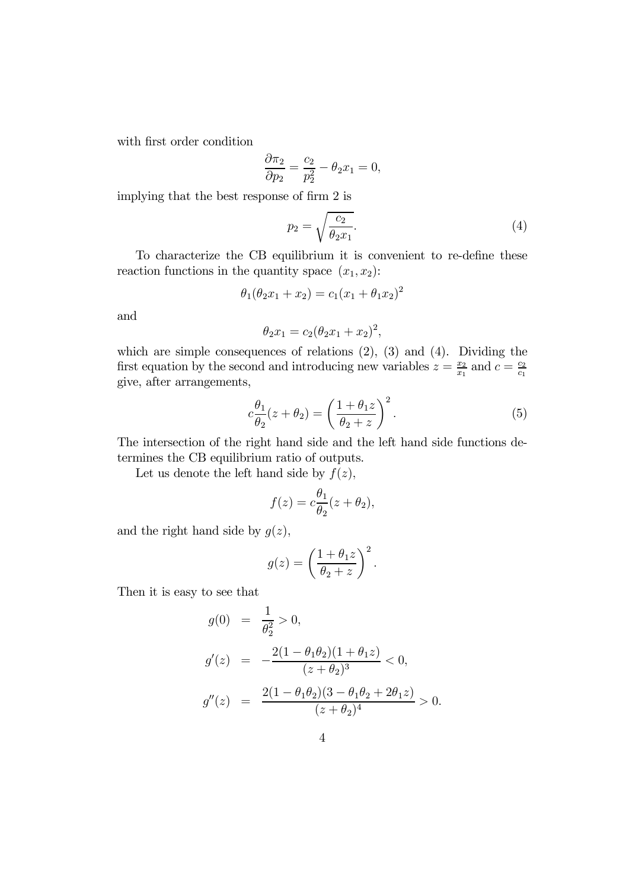with first order condition

$$
\frac{\partial \pi_2}{\partial p_2} = \frac{c_2}{p_2^2} - \theta_2 x_1 = 0,
$$

implying that the best response of firm 2 is

$$
p_2 = \sqrt{\frac{c_2}{\theta_2 x_1}}.\tag{4}
$$

To characterize the CB equilibrium it is convenient to re-define these reaction functions in the quantity space  $(x_1, x_2)$ :

$$
\theta_1(\theta_2 x_1 + x_2) = c_1(x_1 + \theta_1 x_2)^2
$$

and

$$
\theta_2 x_1 = c_2 (\theta_2 x_1 + x_2)^2,
$$

which are simple consequences of relations  $(2)$ ,  $(3)$  and  $(4)$ . Dividing the first equation by the second and introducing new variables  $z = \frac{x_2}{x_1}$  and  $c = \frac{c_2}{c_1}$ give, after arrangements,

$$
c\frac{\theta_1}{\theta_2}(z+\theta_2) = \left(\frac{1+\theta_1 z}{\theta_2+z}\right)^2.
$$
 (5)

The intersection of the right hand side and the left hand side functions determines the CB equilibrium ratio of outputs.

Let us denote the left hand side by  $f(z)$ ,

$$
f(z) = c \frac{\theta_1}{\theta_2} (z + \theta_2),
$$

and the right hand side by  $g(z)$ ,

$$
g(z) = \left(\frac{1+\theta_1 z}{\theta_2 + z}\right)^2.
$$

Then it is easy to see that

$$
g(0) = \frac{1}{\theta_2^2} > 0,
$$
  
\n
$$
g'(z) = -\frac{2(1 - \theta_1 \theta_2)(1 + \theta_1 z)}{(z + \theta_2)^3} < 0,
$$
  
\n
$$
g''(z) = \frac{2(1 - \theta_1 \theta_2)(3 - \theta_1 \theta_2 + 2\theta_1 z)}{(z + \theta_2)^4} > 0.
$$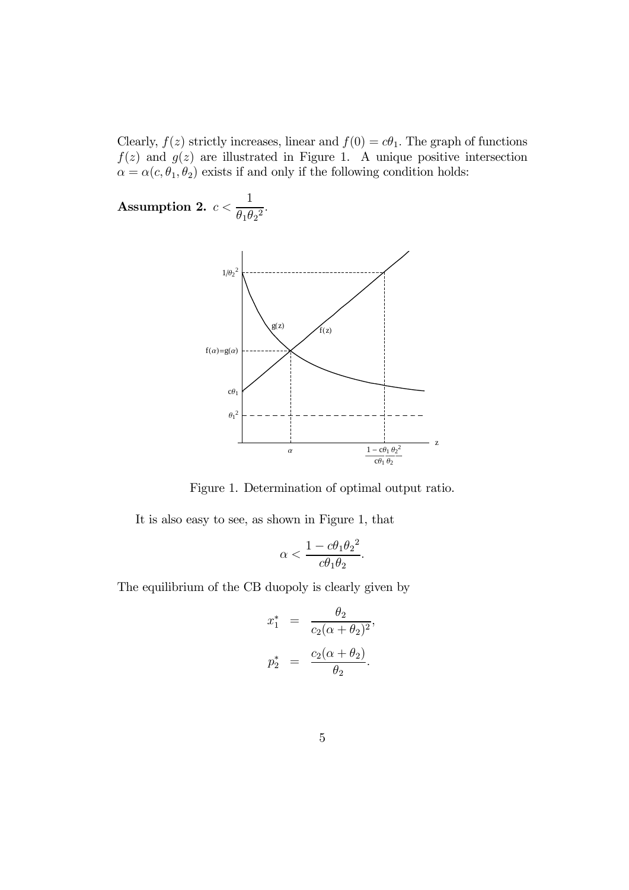Clearly,  $f(z)$  strictly increases, linear and  $f(0) = c\theta_1$ . The graph of functions  $f(z)$  and  $g(z)$  are illustrated in Figure 1. A unique positive intersection  $\alpha = \alpha(c, \theta_1, \theta_2)$  exists if and only if the following condition holds:

Assumption 2.  $c <$ 1  $\frac{1}{\theta_1 \theta_2^2}$ .



Figure 1. Determination of optimal output ratio.

It is also easy to see, as shown in Figure 1, that

$$
\alpha < \frac{1 - c\theta_1\theta_2^2}{c\theta_1\theta_2}.
$$

The equilibrium of the CB duopoly is clearly given by

$$
x_1^* = \frac{\theta_2}{c_2(\alpha + \theta_2)^2},
$$
  

$$
p_2^* = \frac{c_2(\alpha + \theta_2)}{\theta_2}.
$$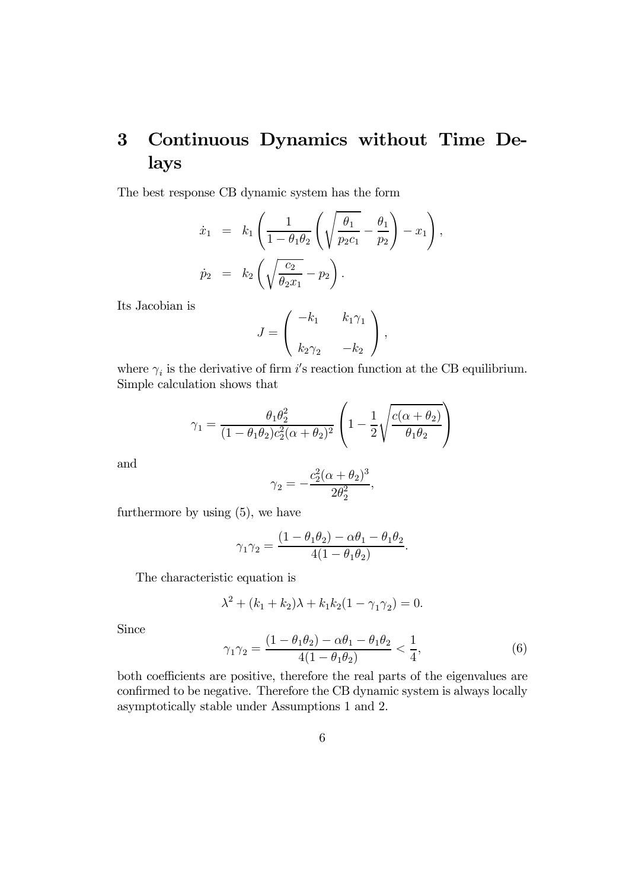# 3 Continuous Dynamics without Time Delays

The best response CB dynamic system has the form

$$
\dot{x}_1 = k_1 \left( \frac{1}{1 - \theta_1 \theta_2} \left( \sqrt{\frac{\theta_1}{p_2 c_1}} - \frac{\theta_1}{p_2} \right) - x_1 \right),
$$
  

$$
\dot{p}_2 = k_2 \left( \sqrt{\frac{c_2}{\theta_2 x_1}} - p_2 \right).
$$

Its Jacobian is

$$
J = \begin{pmatrix} -k_1 & k_1 \gamma_1 \\ k_2 \gamma_2 & -k_2 \end{pmatrix},
$$

where  $\gamma_i$  is the derivative of firm i's reaction function at the CB equilibrium. Simple calculation shows that

$$
\gamma_1 = \frac{\theta_1 \theta_2^2}{(1 - \theta_1 \theta_2)c_2^2(\alpha + \theta_2)^2} \left(1 - \frac{1}{2} \sqrt{\frac{c(\alpha + \theta_2)}{\theta_1 \theta_2}}\right)
$$

and

$$
\gamma_2 = -\frac{c_2^2(\alpha + \theta_2)^3}{2\theta_2^2},
$$

furthermore by using (5), we have

$$
\gamma_1 \gamma_2 = \frac{(1 - \theta_1 \theta_2) - \alpha \theta_1 - \theta_1 \theta_2}{4(1 - \theta_1 \theta_2)}.
$$

The characteristic equation is

$$
\lambda^{2} + (k_{1} + k_{2})\lambda + k_{1}k_{2}(1 - \gamma_{1}\gamma_{2}) = 0.
$$

Since

$$
\gamma_1 \gamma_2 = \frac{(1 - \theta_1 \theta_2) - \alpha \theta_1 - \theta_1 \theta_2}{4(1 - \theta_1 \theta_2)} < \frac{1}{4},\tag{6}
$$

both coefficients are positive, therefore the real parts of the eigenvalues are confirmed to be negative. Therefore the CB dynamic system is always locally asymptotically stable under Assumptions 1 and 2.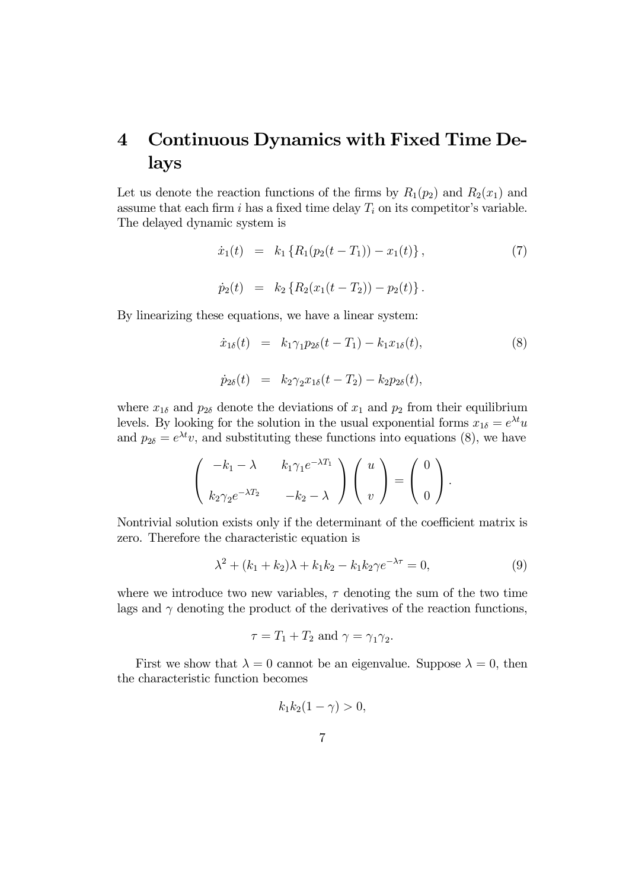## 4 Continuous Dynamics with Fixed Time Delays

Let us denote the reaction functions of the firms by  $R_1(p_2)$  and  $R_2(x_1)$  and assume that each firm i has a fixed time delay  $T_i$  on its competitor's variable. The delayed dynamic system is

$$
\dot{x}_1(t) = k_1 \{ R_1(p_2(t - T_1)) - x_1(t) \},
$$
\n
$$
\dot{p}_2(t) = k_2 \{ R_2(x_1(t - T_2)) - p_2(t) \}.
$$
\n(7)

By linearizing these equations, we have a linear system:

$$
\dot{x}_{1\delta}(t) = k_1 \gamma_1 p_{2\delta}(t - T_1) - k_1 x_{1\delta}(t),
$$
\n
$$
\dot{p}_{2\delta}(t) = k_2 \gamma_2 x_{1\delta}(t - T_2) - k_2 p_{2\delta}(t),
$$
\n(8)

where  $x_{1\delta}$  and  $p_{2\delta}$  denote the deviations of  $x_1$  and  $p_2$  from their equilibrium levels. By looking for the solution in the usual exponential forms  $x_{1\delta} = e^{\lambda t}u$ and  $p_{2\delta} = e^{\lambda t}v$ , and substituting these functions into equations (8), we have

$$
\begin{pmatrix} -k_1 - \lambda & k_1 \gamma_1 e^{-\lambda T_1} \\ k_2 \gamma_2 e^{-\lambda T_2} & -k_2 - \lambda \end{pmatrix} \begin{pmatrix} u \\ v \end{pmatrix} = \begin{pmatrix} 0 \\ 0 \end{pmatrix}.
$$

Nontrivial solution exists only if the determinant of the coefficient matrix is zero. Therefore the characteristic equation is

$$
\lambda^2 + (k_1 + k_2)\lambda + k_1k_2 - k_1k_2\gamma e^{-\lambda\tau} = 0,
$$
\n(9)

where we introduce two new variables,  $\tau$  denoting the sum of the two time lags and  $\gamma$  denoting the product of the derivatives of the reaction functions,

$$
\tau = T_1 + T_2 \text{ and } \gamma = \gamma_1 \gamma_2.
$$

First we show that  $\lambda = 0$  cannot be an eigenvalue. Suppose  $\lambda = 0$ , then the characteristic function becomes

$$
k_1k_2(1-\gamma)>0,
$$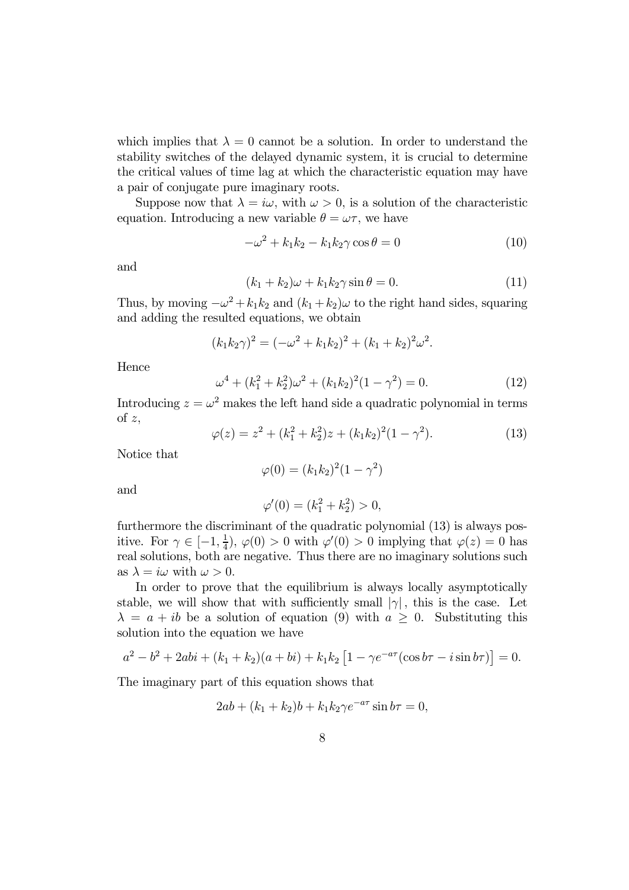which implies that  $\lambda = 0$  cannot be a solution. In order to understand the stability switches of the delayed dynamic system, it is crucial to determine the critical values of time lag at which the characteristic equation may have a pair of conjugate pure imaginary roots.

Suppose now that  $\lambda = i\omega$ , with  $\omega > 0$ , is a solution of the characteristic equation. Introducing a new variable  $\theta = \omega \tau$ , we have

$$
-\omega^2 + k_1 k_2 - k_1 k_2 \gamma \cos \theta = 0 \tag{10}
$$

and

$$
(k_1 + k_2)\omega + k_1k_2\gamma\sin\theta = 0.
$$
 (11)

Thus, by moving  $-\omega^2 + k_1k_2$  and  $(k_1 + k_2)\omega$  to the right hand sides, squaring and adding the resulted equations, we obtain

$$
(k_1k_2\gamma)^2 = (-\omega^2 + k_1k_2)^2 + (k_1 + k_2)^2\omega^2.
$$

Hence

$$
\omega^4 + (k_1^2 + k_2^2)\omega^2 + (k_1k_2)^2(1 - \gamma^2) = 0.
$$
 (12)

Introducing  $z = \omega^2$  makes the left hand side a quadratic polynomial in terms of  $z$ ,

$$
\varphi(z) = z^2 + (k_1^2 + k_2^2)z + (k_1k_2)^2(1 - \gamma^2). \tag{13}
$$

Notice that

$$
\varphi(0) = (k_1 k_2)^2 (1 - \gamma^2)
$$

and

$$
\varphi'(0) = (k_1^2 + k_2^2) > 0,
$$

furthermore the discriminant of the quadratic polynomial (13) is always positive. For  $\gamma \in [-1, \frac{1}{4}), \varphi(0) > 0$  with  $\varphi'(0) > 0$  implying that  $\varphi(z) = 0$  has real solutions, both are negative. Thus there are no imaginary solutions such as  $\lambda = i\omega$  with  $\omega > 0$ .

In order to prove that the equilibrium is always locally asymptotically stable, we will show that with sufficiently small  $|\gamma|$ , this is the case. Let  $\lambda = a + ib$  be a solution of equation (9) with  $a \geq 0$ . Substituting this solution into the equation we have

$$
a^{2} - b^{2} + 2abi + (k_{1} + k_{2})(a + bi) + k_{1}k_{2} [1 - \gamma e^{-a\tau} (\cos b\tau - i \sin b\tau)] = 0.
$$

The imaginary part of this equation shows that

$$
2ab + (k_1 + k_2)b + k_1k_2\gamma e^{-a\tau}\sin b\tau = 0,
$$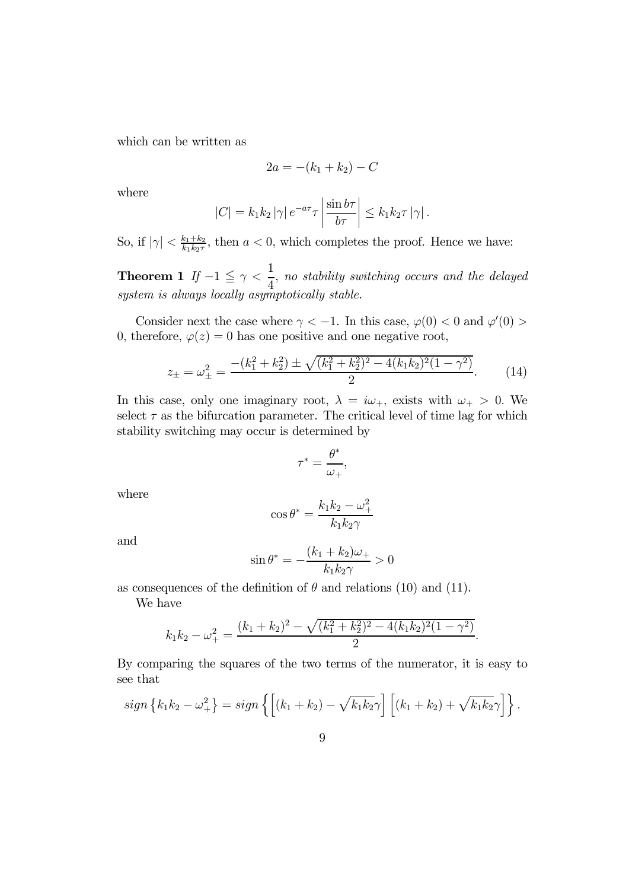which can be written as

$$
2a = -(k_1 + k_2) - C
$$

where

$$
|C| = k_1 k_2 |\gamma| e^{-a\tau} \tau \left| \frac{\sin b\tau}{b\tau} \right| \leq k_1 k_2 \tau |\gamma|.
$$

So, if  $|\gamma| < \frac{k_1+k_2}{k_1k_2\tau}$ , then  $a < 0$ , which completes the proof. Hence we have:

Theorem 1 If  $-1 \leq \gamma <$ 1 4 , no stability switching occurs and the delayed system is always locally asymptotically stable.

Consider next the case where  $\gamma < -1$ . In this case,  $\varphi(0) < 0$  and  $\varphi'(0) > 0$ . 0, therefore,  $\varphi(z)=0$  has one positive and one negative root,

$$
z_{\pm} = \omega_{\pm}^2 = \frac{-(k_1^2 + k_2^2) \pm \sqrt{(k_1^2 + k_2^2)^2 - 4(k_1k_2)^2(1 - \gamma^2)}}{2}.
$$
 (14)

In this case, only one imaginary root,  $\lambda = i\omega_+$ , exists with  $\omega_+ > 0$ . We select  $\tau$  as the bifurcation parameter. The critical level of time lag for which stability switching may occur is determined by

$$
\tau^* = \frac{\theta^*}{\omega_+},
$$

where

$$
\cos \theta^* = \frac{k_1 k_2 - \omega_+^2}{k_1 k_2 \gamma}
$$

and

$$
\sin \theta^* = -\frac{(k_1 + k_2)\omega_+}{k_1 k_2 \gamma} > 0
$$

as consequences of the definition of  $\theta$  and relations (10) and (11).

We have

$$
k_1k_2 - \omega_+^2 = \frac{(k_1 + k_2)^2 - \sqrt{(k_1^2 + k_2^2)^2 - 4(k_1k_2)^2(1 - \gamma^2)}}{2}.
$$

By comparing the squares of the two terms of the numerator, it is easy to see that

$$
sign\left\{k_1k_2-\omega_+^2\right\} = sign\left\{\left[\left(k_1+k_2\right)-\sqrt{k_1k_2}\gamma\right]\left[\left(k_1+k_2\right)+\sqrt{k_1k_2}\gamma\right]\right\}.
$$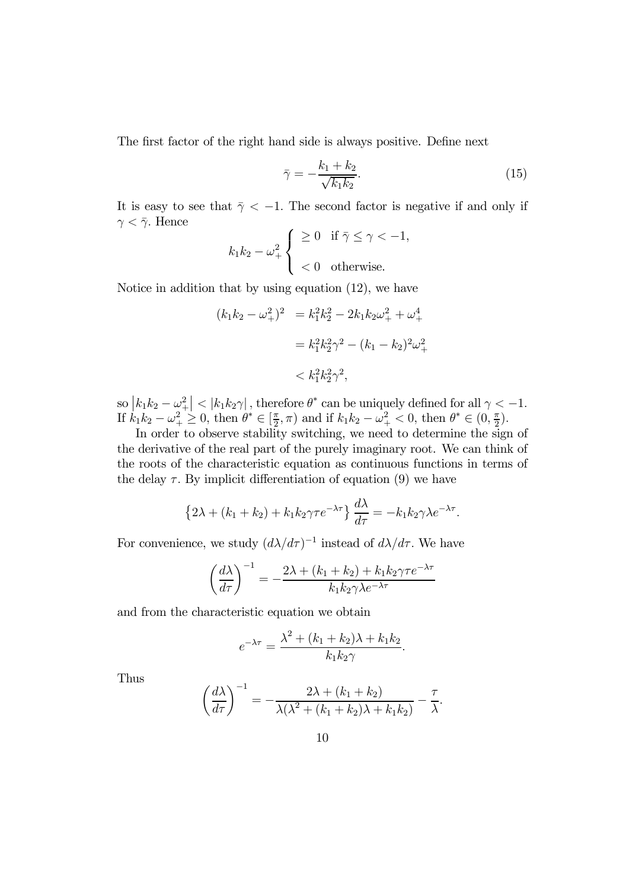The first factor of the right hand side is always positive. Define next

$$
\bar{\gamma} = -\frac{k_1 + k_2}{\sqrt{k_1 k_2}}.\tag{15}
$$

It is easy to see that  $\bar{\gamma}$  < -1. The second factor is negative if and only if  $\gamma < \bar{\gamma}$ . Hence

$$
k_1 k_2 - \omega_+^2 \begin{cases} \geq 0 & \text{if } \bar{\gamma} \leq \gamma < -1, \\ & < 0 & \text{otherwise.} \end{cases}
$$

Notice in addition that by using equation (12), we have

$$
(k_1k_2 - \omega_+^2)^2 = k_1^2k_2^2 - 2k_1k_2\omega_+^2 + \omega_+^4
$$
  
=  $k_1^2k_2^2\gamma^2 - (k_1 - k_2)^2\omega_+^2$   
<  $k_1^2k_2^2\gamma^2$ ,

so  $|k_1k_2 - \omega_+^2| < |k_1k_2\gamma|$ , therefore  $\theta^*$  can be uniquely defined for all  $\gamma < -1$ . If  $k_1 k_2 - \omega_+^2 \ge 0$ , then  $\theta^* \in [\frac{\pi}{2}, \pi)$  and if  $k_1 k_2 - \omega_+^2 < 0$ , then  $\theta^* \in (0, \frac{\pi}{2})$ .

In order to observe stability switching, we need to determine the sign of the derivative of the real part of the purely imaginary root. We can think of the roots of the characteristic equation as continuous functions in terms of the delay  $\tau$ . By implicit differentiation of equation (9) we have

$$
\left\{2\lambda + (k_1 + k_2) + k_1k_2\gamma\tau e^{-\lambda\tau}\right\}\frac{d\lambda}{d\tau} = -k_1k_2\gamma\lambda e^{-\lambda\tau}.
$$

For convenience, we study  $(d\lambda/d\tau)^{-1}$  instead of  $d\lambda/d\tau$ . We have

$$
\left(\frac{d\lambda}{d\tau}\right)^{-1} = -\frac{2\lambda + (k_1 + k_2) + k_1 k_2 \gamma \tau e^{-\lambda \tau}}{k_1 k_2 \gamma \lambda e^{-\lambda \tau}}
$$

and from the characteristic equation we obtain

$$
e^{-\lambda \tau} = \frac{\lambda^2 + (k_1 + k_2)\lambda + k_1 k_2}{k_1 k_2 \gamma}.
$$

Thus

$$
\left(\frac{d\lambda}{d\tau}\right)^{-1} = -\frac{2\lambda + (k_1 + k_2)}{\lambda(\lambda^2 + (k_1 + k_2)\lambda + k_1k_2)} - \frac{\tau}{\lambda}
$$

.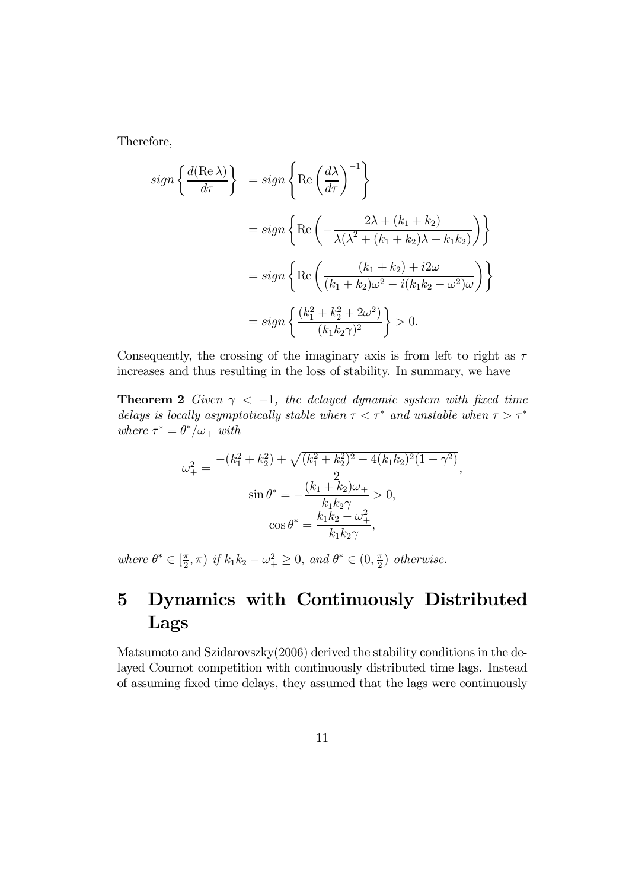Therefore,

$$
sign\left\{\frac{d(\text{Re }\lambda)}{d\tau}\right\} = sign\left\{\text{Re}\left(\frac{d\lambda}{d\tau}\right)^{-1}\right\}
$$

$$
= sign\left\{\text{Re}\left(-\frac{2\lambda + (k_1 + k_2)}{\lambda(\lambda^2 + (k_1 + k_2)\lambda + k_1k_2)}\right)\right\}
$$

$$
= sign\left\{\text{Re}\left(\frac{(k_1 + k_2) + i2\omega}{(k_1 + k_2)\omega^2 - i(k_1k_2 - \omega^2)\omega}\right)\right\}
$$

$$
= sign\left\{\frac{(k_1^2 + k_2^2 + 2\omega^2)}{(k_1k_2\gamma)^2}\right\} > 0.
$$

Consequently, the crossing of the imaginary axis is from left to right as  $\tau$ increases and thus resulting in the loss of stability. In summary, we have

**Theorem 2** Given  $\gamma < -1$ , the delayed dynamic system with fixed time delays is locally asymptotically stable when  $\tau < \tau^*$  and unstable when  $\tau > \tau^*$ where  $\tau^* = \theta^* / \omega_+$  with

$$
\omega_{+}^{2} = \frac{-(k_{1}^{2} + k_{2}^{2}) + \sqrt{(k_{1}^{2} + k_{2}^{2})^{2} - 4(k_{1}k_{2})^{2}(1 - \gamma^{2})}}{\sin \theta^{*}} = \frac{(k_{1} + k_{2})\omega_{+}}{k_{1}k_{2}\gamma} > 0,
$$

$$
\cos \theta^{*} = \frac{k_{1}k_{2} - \omega_{+}^{2}}{k_{1}k_{2}\gamma},
$$

where  $\theta^* \in [\frac{\pi}{2}, \pi)$  if  $k_1 k_2 - \omega_+^2 \ge 0$ , and  $\theta^* \in (0, \frac{\pi}{2})$  otherwise.

# 5 Dynamics with Continuously Distributed Lags

Matsumoto and Szidarovszky(2006) derived the stability conditions in the delayed Cournot competition with continuously distributed time lags. Instead of assuming fixed time delays, they assumed that the lags were continuously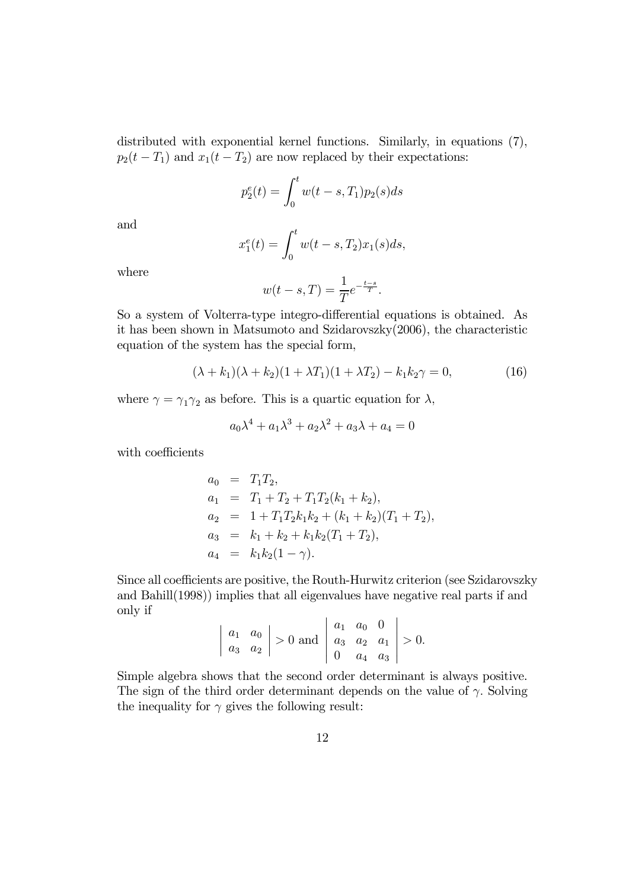distributed with exponential kernel functions. Similarly, in equations (7),  $p_2(t - T_1)$  and  $x_1(t - T_2)$  are now replaced by their expectations:

$$
p_2^e(t) = \int_0^t w(t - s, T_1) p_2(s) ds
$$

and

$$
x_1^e(t) = \int_0^t w(t - s, T_2) x_1(s) ds,
$$

where

$$
w(t-s,T) = \frac{1}{T}e^{-\frac{t-s}{T}}.
$$

So a system of Volterra-type integro-differential equations is obtained. As it has been shown in Matsumoto and Szidarovszky(2006), the characteristic equation of the system has the special form,

$$
(\lambda + k_1)(\lambda + k_2)(1 + \lambda T_1)(1 + \lambda T_2) - k_1 k_2 \gamma = 0, \tag{16}
$$

where  $\gamma = \gamma_1 \gamma_2$  as before. This is a quartic equation for  $\lambda$ ,

$$
a_0 \lambda^4 + a_1 \lambda^3 + a_2 \lambda^2 + a_3 \lambda + a_4 = 0
$$

with coefficients

$$
a_0 = T_1T_2,
$$
  
\n
$$
a_1 = T_1 + T_2 + T_1T_2(k_1 + k_2),
$$
  
\n
$$
a_2 = 1 + T_1T_2k_1k_2 + (k_1 + k_2)(T_1 + T_2),
$$
  
\n
$$
a_3 = k_1 + k_2 + k_1k_2(T_1 + T_2),
$$
  
\n
$$
a_4 = k_1k_2(1 - \gamma).
$$

Since all coefficients are positive, the Routh-Hurwitz criterion (see Szidarovszky and Bahill(1998)) implies that all eigenvalues have negative real parts if and only if  $\overline{a}$  $\overline{a}$ 

$$
\begin{vmatrix} a_1 & a_0 \\ a_3 & a_2 \end{vmatrix}
$$
 > 0 and  $\begin{vmatrix} a_1 & a_0 & 0 \\ a_3 & a_2 & a_1 \\ 0 & a_4 & a_3 \end{vmatrix}$  > 0.

Simple algebra shows that the second order determinant is always positive. The sign of the third order determinant depends on the value of  $\gamma$ . Solving the inequality for  $\gamma$  gives the following result: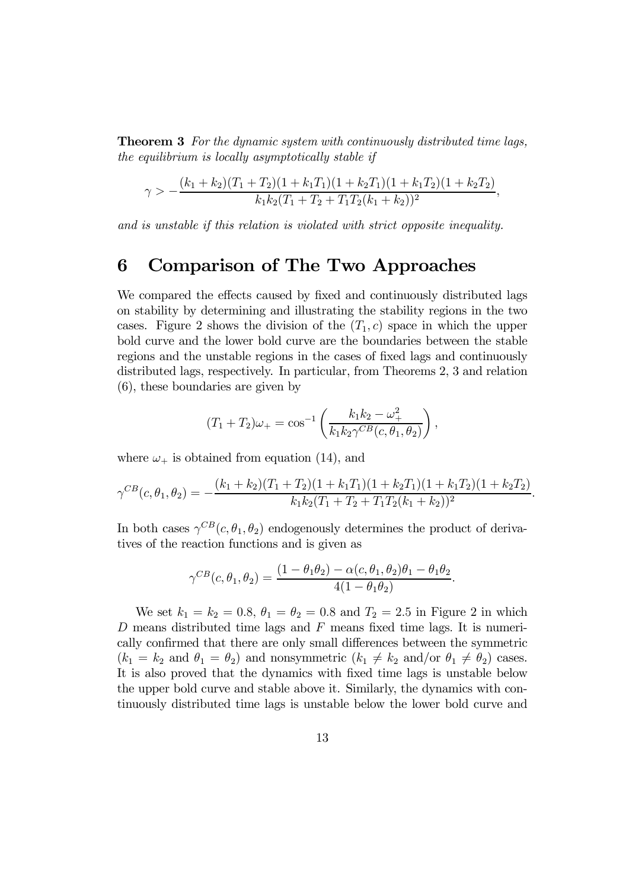**Theorem 3** For the dynamic system with continuously distributed time lags, the equilibrium is locally asymptotically stable if

$$
\gamma > -\frac{(k_1 + k_2)(T_1 + T_2)(1 + k_1T_1)(1 + k_2T_1)(1 + k_1T_2)(1 + k_2T_2)}{k_1k_2(T_1 + T_2 + T_1T_2(k_1 + k_2))^2},
$$

and is unstable if this relation is violated with strict opposite inequality.

## 6 Comparison of The Two Approaches

We compared the effects caused by fixed and continuously distributed lags on stability by determining and illustrating the stability regions in the two cases. Figure 2 shows the division of the  $(T_1, c)$  space in which the upper bold curve and the lower bold curve are the boundaries between the stable regions and the unstable regions in the cases of fixed lags and continuously distributed lags, respectively. In particular, from Theorems 2, 3 and relation (6), these boundaries are given by

$$
(T_1 + T_2)\omega_+ = \cos^{-1}\left(\frac{k_1k_2 - \omega_+^2}{k_1k_2\gamma^{CB}(c, \theta_1, \theta_2)}\right),
$$

where  $\omega_+$  is obtained from equation (14), and

$$
\gamma^{CB}(c,\theta_1,\theta_2) = -\frac{(k_1 + k_2)(T_1 + T_2)(1 + k_1T_1)(1 + k_2T_1)(1 + k_1T_2)(1 + k_2T_2)}{k_1k_2(T_1 + T_2 + T_1T_2(k_1 + k_2))^2}.
$$

In both cases  $\gamma^{CB}(c, \theta_1, \theta_2)$  endogenously determines the product of derivatives of the reaction functions and is given as

$$
\gamma^{CB}(c,\theta_1,\theta_2)=\frac{(1-\theta_1\theta_2)-\alpha(c,\theta_1,\theta_2)\theta_1-\theta_1\theta_2}{4(1-\theta_1\theta_2)}.
$$

We set  $k_1 = k_2 = 0.8$ ,  $\theta_1 = \theta_2 = 0.8$  and  $T_2 = 2.5$  in Figure 2 in which  $D$  means distributed time lags and  $F$  means fixed time lags. It is numerically confirmed that there are only small differences between the symmetric  $(k_1 = k_2 \text{ and } \theta_1 = \theta_2)$  and nonsymmetric  $(k_1 \neq k_2 \text{ and/or } \theta_1 \neq \theta_2)$  cases. It is also proved that the dynamics with fixed time lags is unstable below the upper bold curve and stable above it. Similarly, the dynamics with continuously distributed time lags is unstable below the lower bold curve and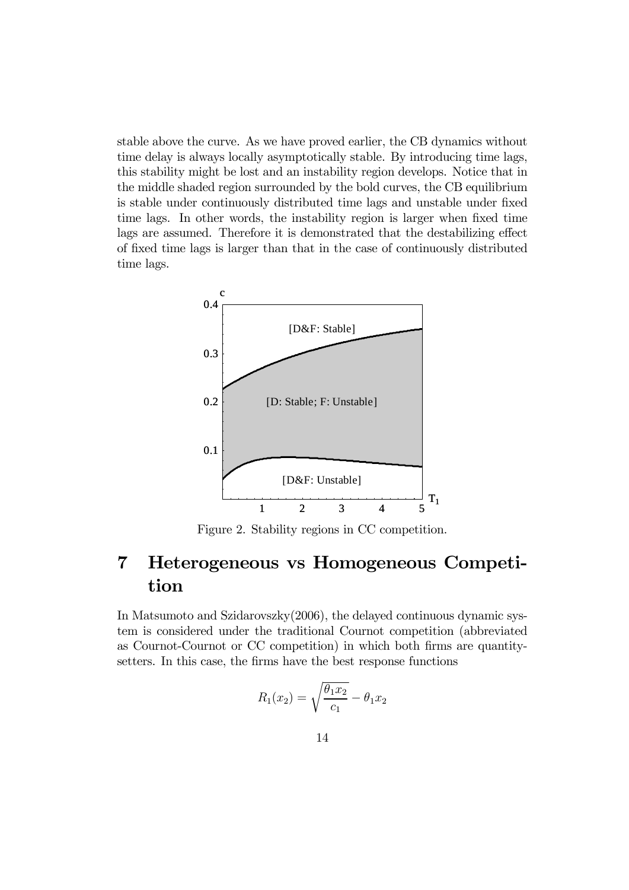stable above the curve. As we have proved earlier, the CB dynamics without time delay is always locally asymptotically stable. By introducing time lags, this stability might be lost and an instability region develops. Notice that in the middle shaded region surrounded by the bold curves, the CB equilibrium is stable under continuously distributed time lags and unstable under fixed time lags. In other words, the instability region is larger when fixed time lags are assumed. Therefore it is demonstrated that the destabilizing effect of fixed time lags is larger than that in the case of continuously distributed time lags.



Figure 2. Stability regions in CC competition.

## 7 Heterogeneous vs Homogeneous Competition

In Matsumoto and Szidarovszky(2006), the delayed continuous dynamic system is considered under the traditional Cournot competition (abbreviated as Cournot-Cournot or CC competition) in which both firms are quantitysetters. In this case, the firms have the best response functions

$$
R_1(x_2) = \sqrt{\frac{\theta_1 x_2}{c_1}} - \theta_1 x_2
$$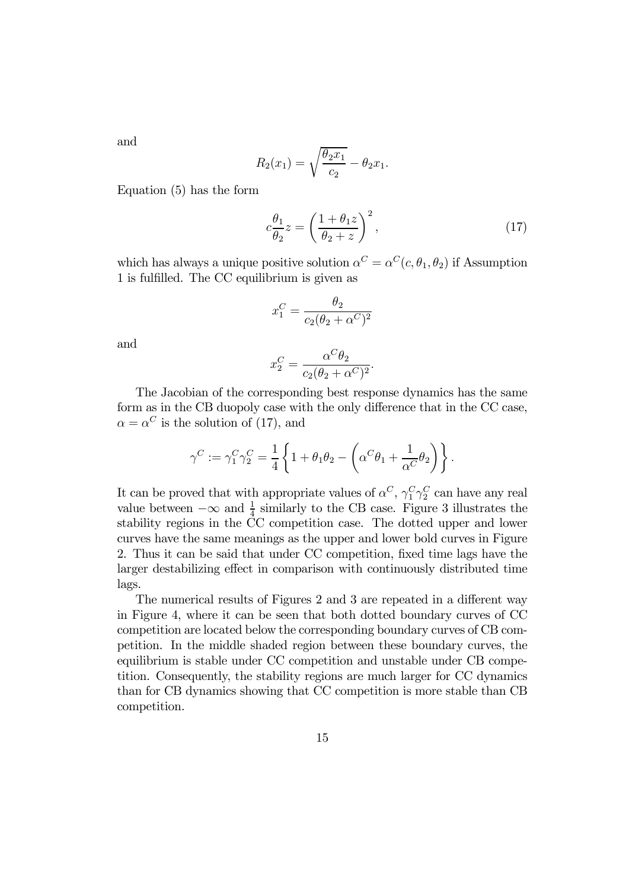and

$$
R_2(x_1) = \sqrt{\frac{\theta_2 x_1}{c_2}} - \theta_2 x_1.
$$

Equation (5) has the form

$$
c\frac{\theta_1}{\theta_2}z = \left(\frac{1+\theta_1 z}{\theta_2+z}\right)^2,\tag{17}
$$

which has always a unique positive solution  $\alpha^C = \alpha^C(c, \theta_1, \theta_2)$  if Assumption 1 is fulfilled. The CC equilibrium is given as

$$
x_1^C = \frac{\theta_2}{c_2(\theta_2 + \alpha^C)^2}
$$

and

$$
x_2^C = \frac{\alpha^C \theta_2}{c_2(\theta_2 + \alpha^C)^2}.
$$

The Jacobian of the corresponding best response dynamics has the same form as in the CB duopoly case with the only difference that in the CC case,  $\alpha = \alpha^C$  is the solution of (17), and

$$
\gamma^C:=\gamma_1^C\gamma_2^C=\frac{1}{4}\left\{1+\theta_1\theta_2-\left(\alpha^C\theta_1+\frac{1}{\alpha^C}\theta_2\right)\right\}.
$$

It can be proved that with appropriate values of  $\alpha^C$ ,  $\gamma_1^C \gamma_2^C$  can have any real value between  $-\infty$  and  $\frac{1}{4}$  similarly to the CB case. Figure 3 illustrates the stability regions in the CC competition case. The dotted upper and lower curves have the same meanings as the upper and lower bold curves in Figure 2. Thus it can be said that under CC competition, fixed time lags have the larger destabilizing effect in comparison with continuously distributed time lags.

The numerical results of Figures 2 and 3 are repeated in a different way in Figure 4, where it can be seen that both dotted boundary curves of CC competition are located below the corresponding boundary curves of CB competition. In the middle shaded region between these boundary curves, the equilibrium is stable under CC competition and unstable under CB competition. Consequently, the stability regions are much larger for CC dynamics than for CB dynamics showing that CC competition is more stable than CB competition.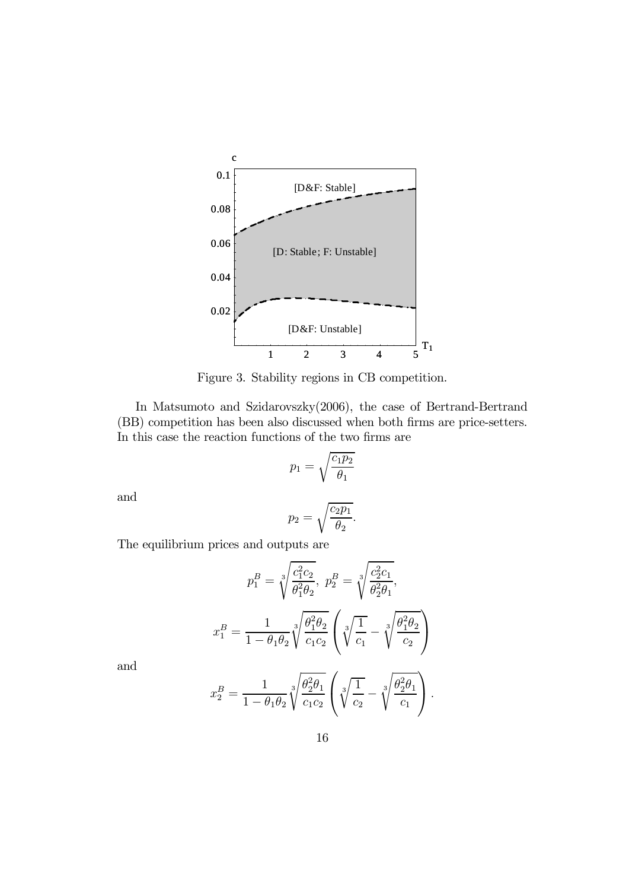

Figure 3. Stability regions in CB competition.

In Matsumoto and Szidarovszky(2006), the case of Bertrand-Bertrand (BB) competition has been also discussed when both firms are price-setters. In this case the reaction functions of the two firms are

$$
p_1 = \sqrt{\frac{c_1 p_2}{\theta_1}}
$$

and

$$
p_2 = \sqrt{\frac{c_2 p_1}{\theta_2}}.
$$

The equilibrium prices and outputs are

$$
p_1^B = \sqrt[3]{\frac{c_1^2 c_2}{\theta_1^2 \theta_2}}, \ p_2^B = \sqrt[3]{\frac{c_2^2 c_1}{\theta_2^2 \theta_1}},
$$

$$
x_1^B = \frac{1}{1 - \theta_1 \theta_2} \sqrt[3]{\frac{\theta_1^2 \theta_2}{c_1 c_2}} \left( \sqrt[3]{\frac{1}{c_1}} - \sqrt[3]{\frac{\theta_1^2 \theta_2}{c_2}} \right)
$$

and

$$
x_2^B = \frac{1}{1 - \theta_1 \theta_2} \sqrt[3]{\frac{\theta_2^2 \theta_1}{c_1 c_2}} \left( \sqrt[3]{\frac{1}{c_2}} - \sqrt[3]{\frac{\theta_2^2 \theta_1}{c_1}} \right).
$$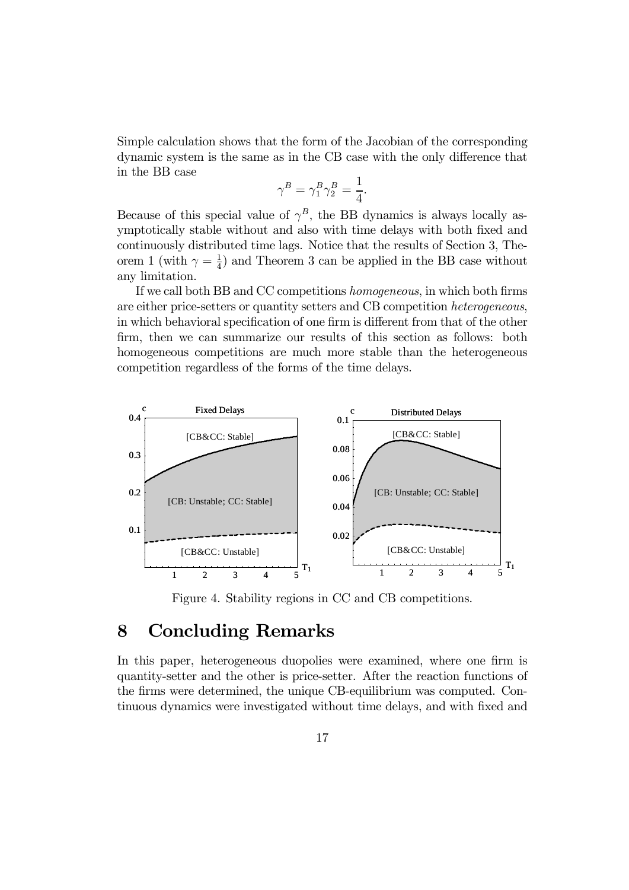Simple calculation shows that the form of the Jacobian of the corresponding dynamic system is the same as in the CB case with the only difference that in the BB case

$$
\gamma^B = \gamma_1^B \gamma_2^B = \frac{1}{4}.
$$

Because of this special value of  $\gamma^B$ , the BB dynamics is always locally asymptotically stable without and also with time delays with both fixed and continuously distributed time lags. Notice that the results of Section 3, Theorem 1 (with  $\gamma = \frac{1}{4}$ ) and Theorem 3 can be applied in the BB case without any limitation.

If we call both BB and CC competitions homogeneous, in which both firms are either price-setters or quantity setters and CB competition heterogeneous, in which behavioral specification of one firm is different from that of the other firm, then we can summarize our results of this section as follows: both homogeneous competitions are much more stable than the heterogeneous competition regardless of the forms of the time delays.



Figure 4. Stability regions in CC and CB competitions.

### 8 Concluding Remarks

In this paper, heterogeneous duopolies were examined, where one firm is quantity-setter and the other is price-setter. After the reaction functions of the firms were determined, the unique CB-equilibrium was computed. Continuous dynamics were investigated without time delays, and with fixed and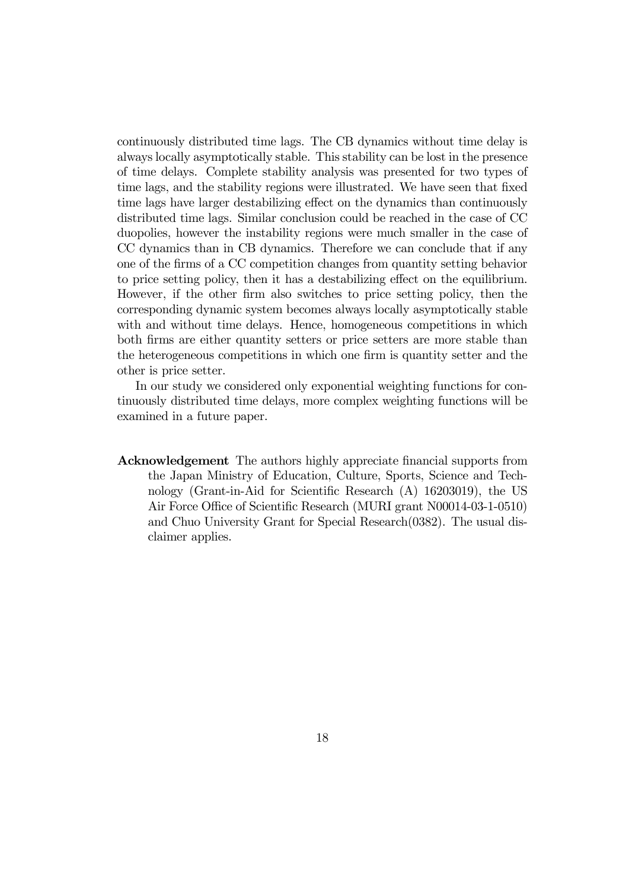continuously distributed time lags. The CB dynamics without time delay is always locally asymptotically stable. This stability can be lost in the presence of time delays. Complete stability analysis was presented for two types of time lags, and the stability regions were illustrated. We have seen that fixed time lags have larger destabilizing effect on the dynamics than continuously distributed time lags. Similar conclusion could be reached in the case of CC duopolies, however the instability regions were much smaller in the case of CC dynamics than in CB dynamics. Therefore we can conclude that if any one of the firms of a CC competition changes from quantity setting behavior to price setting policy, then it has a destabilizing effect on the equilibrium. However, if the other firm also switches to price setting policy, then the corresponding dynamic system becomes always locally asymptotically stable with and without time delays. Hence, homogeneous competitions in which both firms are either quantity setters or price setters are more stable than the heterogeneous competitions in which one firm is quantity setter and the other is price setter.

In our study we considered only exponential weighting functions for continuously distributed time delays, more complex weighting functions will be examined in a future paper.

Acknowledgement The authors highly appreciate financial supports from the Japan Ministry of Education, Culture, Sports, Science and Technology (Grant-in-Aid for Scientific Research (A) 16203019), the US Air Force Office of Scientific Research (MURI grant N00014-03-1-0510) and Chuo University Grant for Special Research(0382). The usual disclaimer applies.